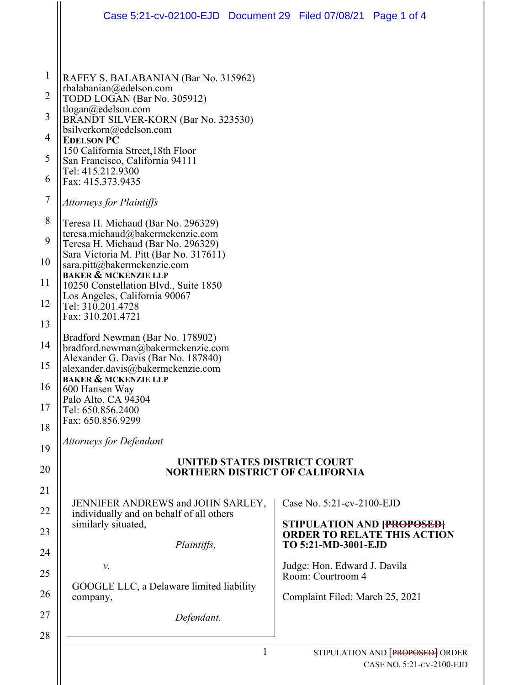|                | Case 5:21-cv-02100-EJD  Document 29  Filed 07/08/21  Page 1 of 4                                                              |   |                                                   |                                                                  |  |  |  |
|----------------|-------------------------------------------------------------------------------------------------------------------------------|---|---------------------------------------------------|------------------------------------------------------------------|--|--|--|
|                |                                                                                                                               |   |                                                   |                                                                  |  |  |  |
| $\mathbf{1}$   | RAFEY S. BALABANIAN (Bar No. 315962)                                                                                          |   |                                                   |                                                                  |  |  |  |
| $\overline{2}$ | rbalabanian@edelson.com<br>TODD LOGAN (Bar No. 305912)                                                                        |   |                                                   |                                                                  |  |  |  |
| 3              | tlogan@edelson.com<br>BRANDT SILVER-KORN (Bar No. 323530)                                                                     |   |                                                   |                                                                  |  |  |  |
| 4              | bsilverkorn@edelson.com<br><b>EDELSON PC</b>                                                                                  |   |                                                   |                                                                  |  |  |  |
| 5              | 150 California Street, 18th Floor<br>San Francisco, California 94111                                                          |   |                                                   |                                                                  |  |  |  |
| 6              | Tel: 415.212.9300<br>Fax: 415.373.9435                                                                                        |   |                                                   |                                                                  |  |  |  |
| $\tau$         | <b>Attorneys for Plaintiffs</b>                                                                                               |   |                                                   |                                                                  |  |  |  |
| 8              | Teresa H. Michaud (Bar No. 296329)                                                                                            |   |                                                   |                                                                  |  |  |  |
| 9              | teresa.michaud@bakermckenzie.com<br>Teresa H. Michaud (Bar No. 296329)                                                        |   |                                                   |                                                                  |  |  |  |
| 10             | Sara Victoria M. Pitt (Bar No. 317611)<br>sara.pitt@bakermckenzie.com                                                         |   |                                                   |                                                                  |  |  |  |
| 11             | <b>BAKER &amp; MCKENZIE LLP</b><br>10250 Constellation Blvd., Suite 1850                                                      |   |                                                   |                                                                  |  |  |  |
| 12             | Los Angeles, California 90067<br>Tel: 310.201.4728                                                                            |   |                                                   |                                                                  |  |  |  |
| 13             | Fax: 310.201.4721                                                                                                             |   |                                                   |                                                                  |  |  |  |
| 14             | Bradford Newman (Bar No. 178902)<br>bradford.newman@bakermckenzie.com                                                         |   |                                                   |                                                                  |  |  |  |
| 15             | Alexander G. Davis (Bar No. 187840)<br>alexander.davis@bakermckenzie.com<br><b>BAKER &amp; MCKENZIE LLP</b><br>600 Hansen Way |   |                                                   |                                                                  |  |  |  |
| 16             |                                                                                                                               |   |                                                   |                                                                  |  |  |  |
| 17             | Palo Alto, CA 94304<br>Tel: 650.856.2400<br>Fax: 650.856.9299                                                                 |   |                                                   |                                                                  |  |  |  |
| 18             |                                                                                                                               |   |                                                   |                                                                  |  |  |  |
| 19             | <b>Attorneys for Defendant</b>                                                                                                |   |                                                   |                                                                  |  |  |  |
| 20             | UNITED STATES DISTRICT COURT<br><b>NORTHERN DISTRICT OF CALIFORNIA</b>                                                        |   |                                                   |                                                                  |  |  |  |
| 21             |                                                                                                                               |   |                                                   |                                                                  |  |  |  |
| 22             | JENNIFER ANDREWS and JOHN SARLEY,<br>individually and on behalf of all others                                                 |   | Case No. 5:21-cv-2100-EJD                         |                                                                  |  |  |  |
| 23             | similarly situated,                                                                                                           |   |                                                   | STIPULATION AND [PROPOSED]<br><b>ORDER TO RELATE THIS ACTION</b> |  |  |  |
| 24             | Plaintiffs,                                                                                                                   |   | TO 5:21-MD-3001-EJD                               |                                                                  |  |  |  |
| 25             | ν.                                                                                                                            |   | Judge: Hon. Edward J. Davila<br>Room: Courtroom 4 |                                                                  |  |  |  |
| 26             | GOOGLE LLC, a Delaware limited liability<br>company,                                                                          |   | Complaint Filed: March 25, 2021                   |                                                                  |  |  |  |
| 27             | Defendant.                                                                                                                    |   |                                                   |                                                                  |  |  |  |
| 28             |                                                                                                                               |   |                                                   |                                                                  |  |  |  |
|                |                                                                                                                               | 1 |                                                   | STIPULATION AND [PROPOSED] ORDER                                 |  |  |  |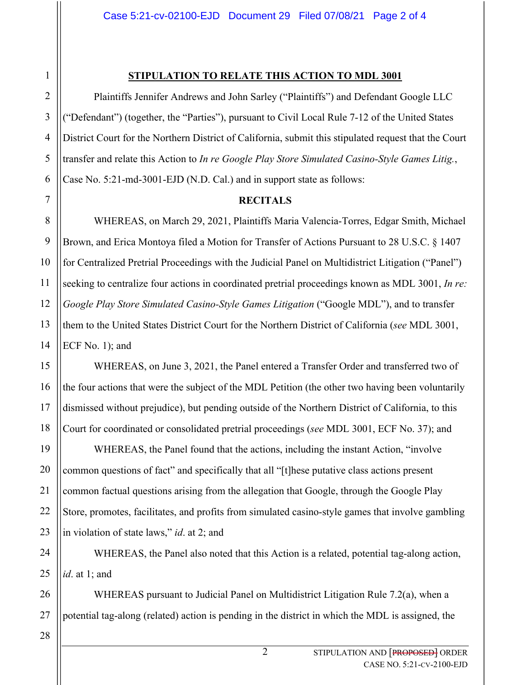## 2 3 4 5 6 7 8 9 10 11 12 13 14 15 16 17 18 19 20 21 22 23 24 25 26 27 28

1

## **STIPULATION TO RELATE THIS ACTION TO MDL 3001**

Plaintiffs Jennifer Andrews and John Sarley ("Plaintiffs") and Defendant Google LLC ("Defendant") (together, the "Parties"), pursuant to Civil Local Rule 7-12 of the United States District Court for the Northern District of California, submit this stipulated request that the Court transfer and relate this Action to *In re Google Play Store Simulated Casino-Style Games Litig.*, Case No. 5:21-md-3001-EJD (N.D. Cal.) and in support state as follows:

## **RECITALS**

WHEREAS, on March 29, 2021, Plaintiffs Maria Valencia-Torres, Edgar Smith, Michael Brown, and Erica Montoya filed a Motion for Transfer of Actions Pursuant to 28 U.S.C. § 1407 for Centralized Pretrial Proceedings with the Judicial Panel on Multidistrict Litigation ("Panel") seeking to centralize four actions in coordinated pretrial proceedings known as MDL 3001, *In re: Google Play Store Simulated Casino-Style Games Litigation* ("Google MDL"), and to transfer them to the United States District Court for the Northern District of California (*see* MDL 3001, ECF No. 1); and

WHEREAS, on June 3, 2021, the Panel entered a Transfer Order and transferred two of the four actions that were the subject of the MDL Petition (the other two having been voluntarily dismissed without prejudice), but pending outside of the Northern District of California, to this Court for coordinated or consolidated pretrial proceedings (*see* MDL 3001, ECF No. 37); and

WHEREAS, the Panel found that the actions, including the instant Action, "involve common questions of fact" and specifically that all "[t]hese putative class actions present common factual questions arising from the allegation that Google, through the Google Play Store, promotes, facilitates, and profits from simulated casino-style games that involve gambling in violation of state laws," *id*. at 2; and

WHEREAS, the Panel also noted that this Action is a related, potential tag-along action, *id*. at 1; and

WHEREAS pursuant to Judicial Panel on Multidistrict Litigation Rule 7.2(a), when a potential tag-along (related) action is pending in the district in which the MDL is assigned, the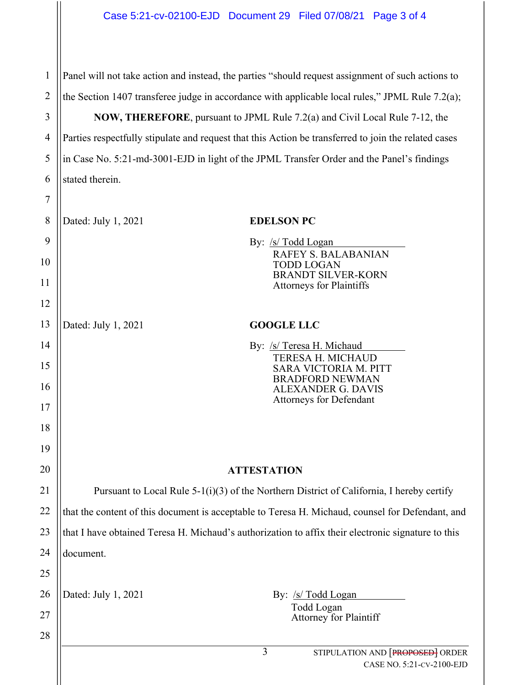| 1              | Panel will not take action and instead, the parties "should request assignment of such actions to    |                                                                    |  |  |  |
|----------------|------------------------------------------------------------------------------------------------------|--------------------------------------------------------------------|--|--|--|
| $\overline{2}$ | the Section 1407 transferee judge in accordance with applicable local rules," JPML Rule 7.2(a);      |                                                                    |  |  |  |
| 3              | NOW, THEREFORE, pursuant to JPML Rule 7.2(a) and Civil Local Rule 7-12, the                          |                                                                    |  |  |  |
| $\overline{4}$ | Parties respectfully stipulate and request that this Action be transferred to join the related cases |                                                                    |  |  |  |
| 5              | in Case No. 5:21-md-3001-EJD in light of the JPML Transfer Order and the Panel's findings            |                                                                    |  |  |  |
| 6              | stated therein.                                                                                      |                                                                    |  |  |  |
| 7              |                                                                                                      |                                                                    |  |  |  |
| 8              | Dated: July 1, 2021                                                                                  | <b>EDELSON PC</b>                                                  |  |  |  |
| 9              |                                                                                                      | By: <u>/s/ Todd Logan</u>                                          |  |  |  |
| 10             |                                                                                                      | <b>RAFEY S. BALABANIAN</b><br><b>TODD LOGAN</b>                    |  |  |  |
| 11             |                                                                                                      | <b>BRANDT SILVER-KORN</b><br><b>Attorneys for Plaintiffs</b>       |  |  |  |
| 12             |                                                                                                      |                                                                    |  |  |  |
| 13             | Dated: July 1, 2021                                                                                  | <b>GOOGLE LLC</b>                                                  |  |  |  |
| 14             |                                                                                                      | By: /s/ Teresa H. Michaud                                          |  |  |  |
| 15             |                                                                                                      | TERESA H. MICHAUD<br><b>SARA VICTORIA M. PITT</b>                  |  |  |  |
| 16             |                                                                                                      | <b>BRADFORD NEWMAN</b><br><b>ALEXANDER G. DAVIS</b>                |  |  |  |
| 17             |                                                                                                      | Attorneys for Defendant                                            |  |  |  |
| 18             |                                                                                                      |                                                                    |  |  |  |
| 19             |                                                                                                      |                                                                    |  |  |  |
| 20             | <b>ATTESTATION</b>                                                                                   |                                                                    |  |  |  |
| 21             | Pursuant to Local Rule 5-1(i)(3) of the Northern District of California, I hereby certify            |                                                                    |  |  |  |
| 22             | that the content of this document is acceptable to Teresa H. Michaud, counsel for Defendant, and     |                                                                    |  |  |  |
| 23             | that I have obtained Teresa H. Michaud's authorization to affix their electronic signature to this   |                                                                    |  |  |  |
| 24             | document.                                                                                            |                                                                    |  |  |  |
| 25             |                                                                                                      |                                                                    |  |  |  |
| 26             | Dated: July 1, 2021                                                                                  | By: /s/ Todd Logan                                                 |  |  |  |
| 27             |                                                                                                      | Todd Logan<br>Attorney for Plaintiff                               |  |  |  |
| 28             |                                                                                                      |                                                                    |  |  |  |
|                |                                                                                                      | 3<br>STIPULATION AND [PROPOSED] ORDER<br>CASE NO. 5:21-CV-2100-EJD |  |  |  |
|                |                                                                                                      |                                                                    |  |  |  |